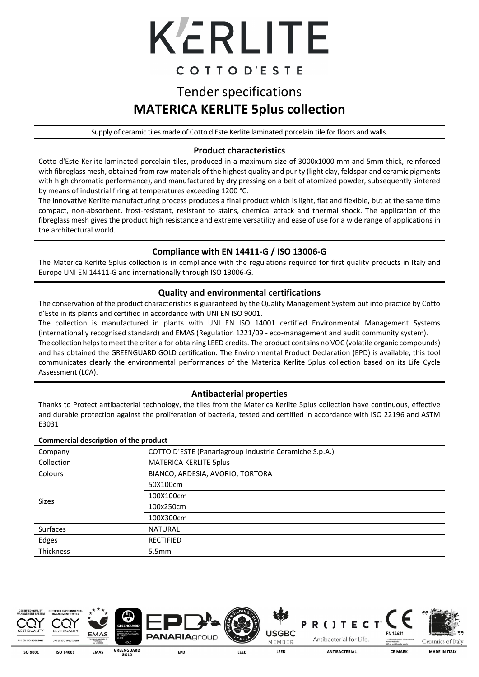# KERLITE

### COTTOD'ESTE

## Tender specifications **MATERICA KERLITE 5plus collection**

Supply of ceramic tiles made of Cotto d'Este Kerlite laminated porcelain tile for floors and walls.

#### **Product characteristics**

Cotto d'Este Kerlite laminated porcelain tiles, produced in a maximum size of 3000x1000 mm and 5mm thick, reinforced with fibreglass mesh, obtained from raw materials of the highest quality and purity (light clay, feldspar and ceramic pigments with high chromatic performance), and manufactured by dry pressing on a belt of atomized powder, subsequently sintered by means of industrial firing at temperatures exceeding 1200 °C.

The innovative Kerlite manufacturing process produces a final product which is light, flat and flexible, but at the same time compact, non-absorbent, frost-resistant, resistant to stains, chemical attack and thermal shock. The application of the fibreglass mesh gives the product high resistance and extreme versatility and ease of use for a wide range of applications in the architectural world.

#### **Compliance with EN 14411-G / ISO 13006-G**

The Materica Kerlite 5plus collection is in compliance with the regulations required for first quality products in Italy and Europe UNI EN 14411-G and internationally through ISO 13006-G.

#### **Quality and environmental certifications**

The conservation of the product characteristics is guaranteed by the Quality Management System put into practice by Cotto d'Este in its plants and certified in accordance with UNI EN ISO 9001.

The collection is manufactured in plants with UNI EN ISO 14001 certified Environmental Management Systems (internationally recognised standard) and EMAS (Regulation 1221/09 - eco-management and audit community system).

The collection helps to meet the criteria for obtaining LEED credits. The product contains no VOC (volatile organic compounds) and has obtained the GREENGUARD GOLD certification. The Environmental Product Declaration (EPD) is available, this tool communicates clearly the environmental performances of the Materica Kerlite 5plus collection based on its Life Cycle Assessment (LCA).

#### **Antibacterial properties**

Thanks to Protect antibacterial technology, the tiles from the Materica Kerlite 5plus collection have continuous, effective and durable protection against the proliferation of bacteria, tested and certified in accordance with ISO 22196 and ASTM E3031

| Commercial description of the product |                                                        |  |  |  |
|---------------------------------------|--------------------------------------------------------|--|--|--|
| Company                               | COTTO D'ESTE (Panariagroup Industrie Ceramiche S.p.A.) |  |  |  |
| Collection                            | <b>MATERICA KERLITE 5plus</b>                          |  |  |  |
| Colours                               | BIANCO, ARDESIA, AVORIO, TORTORA                       |  |  |  |
|                                       | 50X100cm                                               |  |  |  |
| Sizes                                 | 100X100cm                                              |  |  |  |
|                                       | 100x250cm                                              |  |  |  |
|                                       | 100X300cm                                              |  |  |  |
| <b>Surfaces</b>                       | <b>NATURAL</b>                                         |  |  |  |
| Edges                                 | <b>RECTIFIED</b>                                       |  |  |  |
| <b>Thickness</b>                      | 5,5mm                                                  |  |  |  |